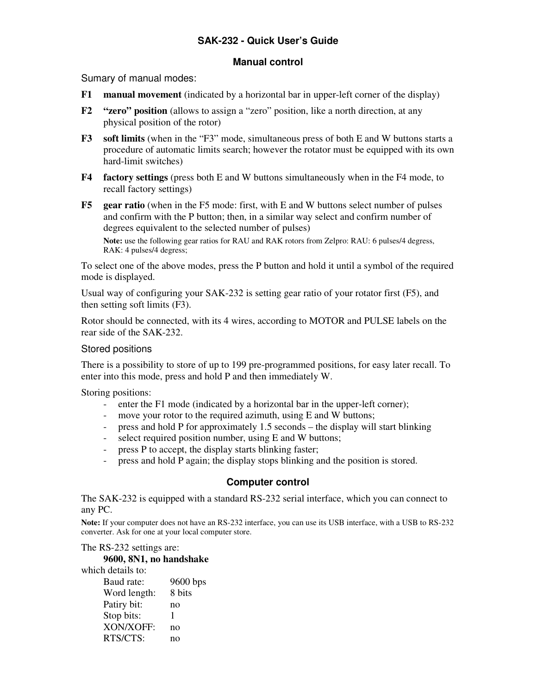# **SAK-232 - Quick User's Guide**

### **Manual control**

Sumary of manual modes:

- **F1 manual movement** (indicated by a horizontal bar in upper-left corner of the display)
- **F2 "zero" position** (allows to assign a "zero" position, like a north direction, at any physical position of the rotor)
- **F3 soft limits** (when in the "F3" mode, simultaneous press of both E and W buttons starts a procedure of automatic limits search; however the rotator must be equipped with its own hard-limit switches)
- **F4 factory settings** (press both E and W buttons simultaneously when in the F4 mode, to recall factory settings)
- **F5 gear ratio** (when in the F5 mode: first, with E and W buttons select number of pulses and confirm with the P button; then, in a similar way select and confirm number of degrees equivalent to the selected number of pulses)

 **Note:** use the following gear ratios for RAU and RAK rotors from Zelpro: RAU: 6 pulses/4 degress, RAK: 4 pulses/4 degress;

To select one of the above modes, press the P button and hold it until a symbol of the required mode is displayed.

Usual way of configuring your SAK-232 is setting gear ratio of your rotator first (F5), and then setting soft limits (F3).

Rotor should be connected, with its 4 wires, according to MOTOR and PULSE labels on the rear side of the SAK-232.

### Stored positions

There is a possibility to store of up to 199 pre-programmed positions, for easy later recall. To enter into this mode, press and hold P and then immediately W.

Storing positions:

- enter the F1 mode (indicated by a horizontal bar in the upper-left corner);
- move your rotor to the required azimuth, using E and W buttons;
- press and hold P for approximately 1.5 seconds the display will start blinking
- select required position number, using E and W buttons;
- press P to accept, the display starts blinking faster;
- press and hold P again; the display stops blinking and the position is stored.

## **Computer control**

The SAK-232 is equipped with a standard RS-232 serial interface, which you can connect to any PC.

**Note:** If your computer does not have an RS-232 interface, you can use its USB interface, with a USB to RS-232 converter. Ask for one at your local computer store.

The RS-232 settings are:

#### **9600, 8N1, no handshake**

which details to:

| Baud rate:   | 9600 bps |
|--------------|----------|
| Word length: | 8 bits   |
| Patiry bit:  | no       |
| Stop bits:   | 1        |
| XON/XOFF:    | no       |
| RTS/CTS:     | no       |